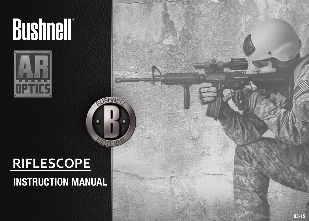# **Bushnell®**



# **RIFLESCOPE**

# **INSTRUCTION MANUAL**

**AUSHINE**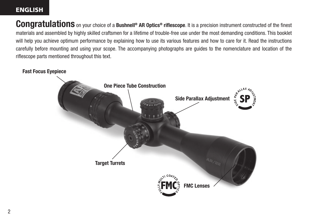#### ENGLISH

**Congratulations** on your choice of a **Bushnell® AR Optics® riflescope**. It is a precision instrument constructed of the finest materials and assembled by highly skilled craftsmen for a lifetime of trouble-free use under the most demanding conditions. This booklet will help you achieve optimum performance by explaining how to use its various features and how to care for it. Read the instructions carefully before mounting and using your scope. The accompanying photographs are guides to the nomenclature and location of the riflescope parts mentioned throughout this text.

#### **Fast Focus Eyepiece**

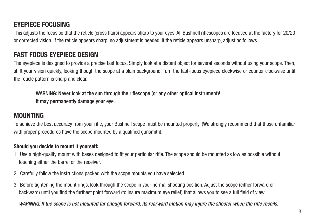# **EYEPIECE FOCUSING**

This adjusts the focus so that the reticle (cross hairs) appears sharp to your eyes. All Bushnell riflescopes are focused at the factory for 20/20 or corrected vision. If the reticle appears sharp, no adjustment is needed. If the reticle appears unsharp, adjust as follows.

## **FAST FOCUS EYEPIECE DESIGN**

The eyepiece is designed to provide a precise fast focus. Simply look at a distant object for several seconds without using your scope. Then, shift your vision quickly, looking though the scope at a plain background. Turn the fast-focus eyepiece clockwise or counter clockwise until the reticle pattern is sharp and clear.

WARNING: Never look at the sun through the riflescope (or any other optical instrument)! It may permanently damage your eye.

## **MOUNTING**

To achieve the best accuracy from your rifle, your Bushnell scope must be mounted properly. (We strongly recommend that those unfamiliar with proper procedures have the scope mounted by a qualified gunsmith).

#### **Should you decide to mount it yourself:**

- 1. Use a high-quality mount with bases designed to fit your particular rifle. The scope should be mounted as low as possible without touching either the barrel or the receiver.
- 2. Carefully follow the instructions packed with the scope mounts you have selected.
- 3. Before tightening the mount rings, look through the scope in your normal shooting position. Adjust the scope (either forward or backward) until you find the furthest point forward (to insure maximum eye relief) that allows you to see a full field of view.

*WARNING: If the scope is not mounted far enough forward, its rearward motion may injure the shooter when the rifle recoils.*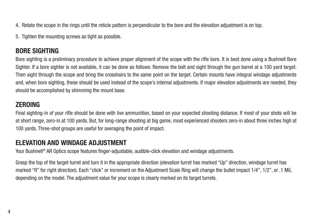- 4. Rotate the scope in the rings until the reticle pattern is perpendicular to the bore and the elevation adjustment is on top.
- 5. Tighten the mounting screws as tight as possible.

# **BORE SIGHTING**

Bore sighting is a preliminary procedure to achieve proper alignment of the scope with the rifle bore. It is best done using a Bushnell Bore Sighter. If a bore sighter is not available, it can be done as follows: Remove the bolt and sight through the gun barrel at a 100 yard target. Then sight through the scope and bring the crosshairs to the same point on the target. Certain mounts have integral windage adjustments and, when bore sighting, these should be used instead of the scope's internal adjustments. If major elevation adjustments are needed, they should be accomplished by shimming the mount base.

# **ZEROING**

Final sighting-in of your rifle should be done with live ammunition, based on your expected shooting distance. If most of your shots will be at short range, zero-in at 100 yards. But, for long-range shooting at big game, most experienced shooters zero-in about three inches high at 100 yards. Three-shot groups are useful for averaging the point of impact.

# **ELEVATION AND WINDAGE ADJUSTMENT**

Your Bushnell® AR Optics scope features finger-adjustable, audible-click elevation and windage adjustments.

Grasp the top of the target turret and turn it in the appropriate direction (elevation turret has marked "Up" direction, windage turret has marked "R" for right direction). Each "click" or increment on the Adjustment Scale Ring will change the bullet impact 1/4", 1/2", or .1 Mil, depending on the model. The adjustment value for your scope is clearly marked on its target turrets.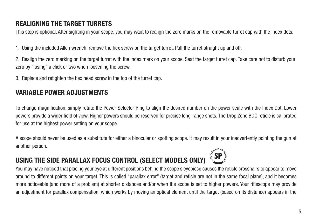# **REALIGNING THE TARGET TURRETS**

This step is optional. After sighting in your scope, you may want to realign the zero marks on the removable turret cap with the index dots.

1. Using the included Allen wrench, remove the hex screw on the target turret. Pull the turret straight up and off.

2. Realign the zero marking on the target turret with the index mark on your scope. Seat the target turret cap. Take care not to disturb your zero by "losing" a click or two when loosening the screw.

3. Replace and retighten the hex head screw in the top of the turret cap.

# **VARIABLE POWER ADJUSTMENTS**

To change magnification, simply rotate the Power Selector Ring to align the desired number on the power scale with the Index Dot. Lower powers provide a wider field of view. Higher powers should be reserved for precise long-range shots. The Drop Zone BDC reticle is calibrated for use at the highest power setting on your scope.

A scope should never be used as a substitute for either a binocular or spotting scope. It may result in your inadvertently pointing the gun at another person.

# **USING THE SIDE PARALLAX FOCUS CONTROL (SELECT MODELS ONLY)**

You may have noticed that placing your eye at different positions behind the scope's eyepiece causes the reticle crosshairs to appear to move around to different points on your target. This is called "parallax error" (target and reticle are not in the same focal plane), and it becomes more noticeable (and more of a problem) at shorter distances and/or when the scope is set to higher powers. Your riflescope may provide an adjustment for parallax compensation, which works by moving an optical element until the target (based on its distance) appears in the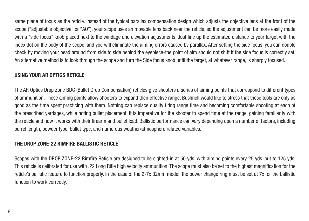same plane of focus as the reticle. Instead of the typical parallax compensation design which adjusts the objective lens at the front of the scope ("adjustable objective" or "AO"), your scope uses an movable lens back near the reticle, so the adjustment can be more easily made with a "side focus" knob placed next to the windage and elevation adjustments. Just line up the estimated distance to your target with the index dot on the body of the scope, and you will eliminate the aiming errors caused by parallax. After setting the side focus, you can double check by moving your head around from side to side behind the eyepiece-the point of aim should not shift if the side focus is correctly set. An alternative method is to look through the scope and turn the Side focus knob until the target, at whatever range, is sharply focused.

#### **USING YOUR AR OPTICS RETICLE**

The AR Optics Drop Zone BDC (Bullet Drop Compensation) reticles give shooters a series of aiming points that correspond to different types of ammunition. These aiming points allow shooters to expand their effective range. Bushnell would like to stress that these tools are only as good as the time spent practicing with them. Nothing can replace quality firing range time and becoming comfortable shooting at each of the prescribed yardages, while noting bullet placement. It is imperative for the shooter to spend time at the range, gaining familiarity with the reticle and how it works with their firearm and bullet load. Ballistic performance can vary depending upon a number of factors, including barrel length, powder type, bullet type, and numerous weather/atmosphere related variables.

#### **THE DROP ZONE-22 RIMFIRE BALLISTIC RETICLE**

Scopes with the DROP ZONE-22 Rimfire Reticle are designed to be sighted-in at 50 yds, with aiming points every 25 yds, out to 125 yds. This reticle is calibrated for use with .22 Long Rifle high velocity ammunition. The scope must also be set to the highest magnification for the reticle's ballistic feature to function properly. In the case of the 2-7x 32mm model, the power change ring must be set at 7x for the ballistic function to work correctly.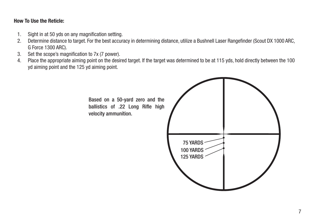#### **How To Use the Reticle:**

- 1. Sight in at 50 yds on any magnification setting.
- 2. Determine distance to target. For the best accuracy in determining distance, utilize a Bushnell Laser Rangefinder (Scout DX 1000 ARC, G Force 1300 ARC).
- 3. Set the scope's magnification to 7x (7 power).
- 4. Place the appropriate aiming point on the desired target. If the target was determined to be at 115 yds, hold directly between the 100 yd aiming point and the 125 yd aiming point.

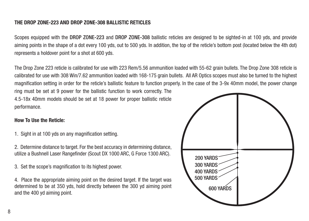#### **THE DROP ZONE-223 AND DROP ZONE-308 BALLISTIC RETICLES**

Scopes equipped with the DROP ZONE-223 and DROP ZONE-308 ballistic reticles are designed to be sighted-in at 100 yds, and provide aiming points in the shape of a dot every 100 yds, out to 500 yds. In addition, the top of the reticle's bottom post (located below the 4th dot) represents a holdover point for a shot at 600 yds.

The Drop Zone 223 reticle is calibrated for use with 223 Rem/5.56 ammunition loaded with 55-62 grain bullets. The Drop Zone 308 reticle is calibrated for use with 308 Win/7.62 ammunition loaded with 168-175 grain bullets. All AR Optics scopes must also be turned to the highest magnification setting in order for the reticle's ballistic feature to function properly. In the case of the 3-9x 40mm model, the power change ring must be set at 9 power for the ballistic function to work correctly. The 4.5-18x 40mm models should be set at 18 power for proper ballistic reticle performance.

#### **How To Use the Reticle:**

- 1. Sight in at 100 yds on any magnification setting.
- 2. Determine distance to target. For the best accuracy in determining distance, utilize a Bushnell Laser Rangefinder (Scout DX 1000 ARC, G Force 1300 ARC).
- 3. Set the scope's magnification to its highest power.
- 4. Place the appropriate aiming point on the desired target. If the target was determined to be at 350 yds, hold directly between the 300 yd aiming point and the 400 yd aiming point.

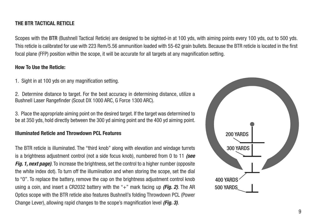#### **THE BTR TACTICAL RETICLE**

Scopes with the BTR (Bushnell Tactical Reticle) are designed to be sighted-in at 100 yds, with aiming points every 100 yds, out to 500 yds. This reticle is calibrated for use with 223 Rem/5.56 ammunition loaded with 55-62 grain bullets. Because the BTR reticle is located in the first focal plane (FFP) position within the scope, it will be accurate for all targets at any magnification setting.

#### **How To Use the Reticle:**

- 1. Sight in at 100 yds on any magnification setting.
- 2. Determine distance to target. For the best accuracy in determining distance, utilize a Bushnell Laser Rangefinder (Scout DX 1000 ARC, G Force 1300 ARC).

3. Place the appropriate aiming point on the desired target. If the target was determined to be at 350 yds, hold directly between the 300 yd aiming point and the 400 yd aiming point.

#### **Illuminated Reticle and Throwdown PCL Features**

The BTR reticle is illuminated. The "third knob" along with elevation and windage turrets is a brightness adjustment control (not a side focus knob), numbered from 0 to 11 *(see Fig. 1, next page).* To increase the brightness, set the control to a higher number (opposite) the white index dot). To turn off the illumiination and when storing the scope, set the dial to "0". To replace the battery, remove the cap on the brightness adjustment control knob using a coin, and insert a CR2032 battery with the "+" mark facing up *(Fig. 2)*. The AR Optics scope with the BTR reticle also features Bushnell's folding Throwdown PCL (Power Change Lever), allowing rapid changes to the scope's magnification level *(Fig. 3)*.